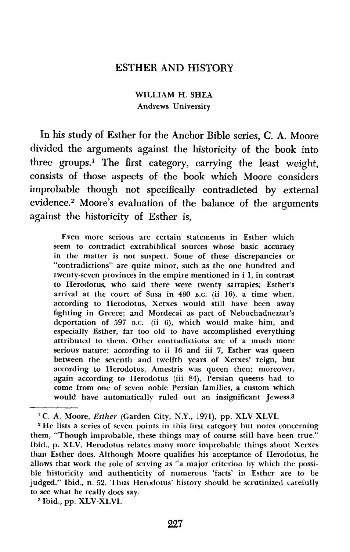## ESTHER AND HISTORY

WILLIAM H. SHEA Andrews University

In his study of Esther for the Anchor Bible series, C. A. Moore divided the arguments against the historicity of the book into three groups.' The first category, carrying the least weight, consists of those aspects of the book which Moore considers improbable though not specifically contradicted by external evidence.<sup>2</sup> Moore's evaluation of the balance of the arguments against the historicity of Esther is,

Even more serious are certain statements in Esther which seem to contradict extrabiblical sources whose basic accuracy in the matter is not suspect. Some of these discrepancies or "contradictions" are quite minor, such as the one hundred and twenty-seven provinces in the empire mentioned in i 1, in contrast to Herodotus, who said there were twenty satrapies; Esther's arrival at the court of Susa in **480 B.C.** (ii 16), a time when, according to Herodotus, Xerxes would still have been away fighting in Greece; and Mordecai as part of Nebuchadnezzar's deportation of 597 **B.C.** (ii 6), which would make him, and especially Esther, far too old to have accomplished everything attributed to them. Other contradictions are of a much more serious nature: according to ii 16 and iii 7, Esther was queen between the seventh and twelfth years of Xerxes' reign, but according to Herodotus, Amestris was queen then; moreover, again according to Herodotus (iii **84),** Persian queens had to come from one of seven noble Persian families, a custom which would have automatically ruled out an insignificant jewess.3

<sup>2</sup> He lists a series of seven points in this first category but notes concerning them, "Though improbable, these things may of course still have been true." Ibid., p. XLV. Herodotus relates many more improbable things about Xerxes than Esther does. Although Moore qualifies his acceptance of Herodotus, he allows that work the role of serving as "a major criterion by which the possible historicity and authenticity of numerous 'facts' in Esther are to be judged." Ibid., n. 52. Thus Herodotus' history should be scrutinized carefully to see what he really does say.

<sup>3</sup> Ibid., pp. XLV-XLVI.

<sup>&</sup>lt;sup>1</sup> C. A. Moore, *Esther (Garden City, N.Y., 1971)*, pp. XLV-XLVI.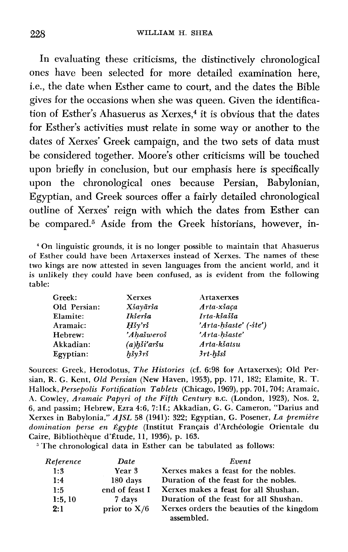In evaluating these criticisms, the distinctively chronologica1 ones have been selected for more detailed examination here, i.e., the date when Esther came to court, and the dates the Bible gives for the occasions when she was queen. Given the identification of Esther's Ahasuerus as Xerxes, $4$  it is obvious that the dates for Esther's activities must relate in some way or another to the dates of Xerxes' Greek campaign, and the two sets of data must be considered together. Moore's other criticisms will be touched upon briefly in conclusion, but our emphasis here is specifically upon the chronological ones because Persian, Babylonian, Egyptian, and Greek sources offer a fairly detailed chronological outline of Xerxes' reign with which the dates from Esther can be compared.<sup>5</sup> Aside from the Greek historians, however, in-

On linguistic grounds, it is no longer possible to maintain that Ahasuerus of Esther could have been Artaxerxes instead of Xerxes. The names of these two kings are now attested in seven languages from the ancient world, and it is unlikely they could have been confused, as is evident from the following table:

| <b>Greek:</b>   | <b>Xerxes</b>                        | Artaxerxes                |
|-----------------|--------------------------------------|---------------------------|
| Old Persian:    | Xšayārša                             | Arta-xšaca                |
| <b>Elamite:</b> | Ikšerša                              | Irta-kšašša               |
| Aramaic:        | $H\check{s}\gamma\check{r}\check{s}$ | $'Arta-hšaste'$ $(-ste')$ |
| Hebrew:         | 'Ahašweroš                           | 'Arta-hšaste'             |
| Akkadian:       | $(a)$ hši'aršu                       | Arta-kšatsu               |
| Egyptian:       | $h$ šy $3r$ š                        | 3rt-hšsš                  |
|                 |                                      |                           |

Sources: Greek, Herodotus, *The Histories* (cf. 6:98 for Artaxerxes); Old Persian, R. G. Kent, Old *Persian* (New Haven, 1953), pp. 171, 182; Elamite, R. T. Hallock, *Persepolis Fortification Tablets* (Chicago, 1969), pp. 701,704; Aramaic, A. Cowley, *Aramaic Papyri of the Fifth Century* **B.C.** (London, 1923), Nos. 2, 6, and passim; Hebrew, Ezra 4:6, 7:lf.; Akkadian, G. G. Cameron, "Darius and Xerxes in Babylonia," *AJSL* 58 (1941): 322; Egyptian, G. Posener, *La premitre*  domination perse en Égypte (Institut Français d'Archéologie Orientale du Caire, Bibliothèque d'Étude, 11, 1936), p. 163.

<sup>5</sup> The chronological data in Esther can be tabulated as follows:

| Reference | Date           | Event                                                   |
|-----------|----------------|---------------------------------------------------------|
| 1:3       | Year 3         | Xerxes makes a feast for the nobles.                    |
| 1:4       | 180 days       | Duration of the feast for the nobles.                   |
| 1:5       | end of feast I | Xerxes makes a feast for all Shushan.                   |
| 1:5.10    | 7 days         | Duration of the feast for all Shushan.                  |
| 2:1       | prior to $X/6$ | Xerxes orders the beauties of the kingdom<br>assembled. |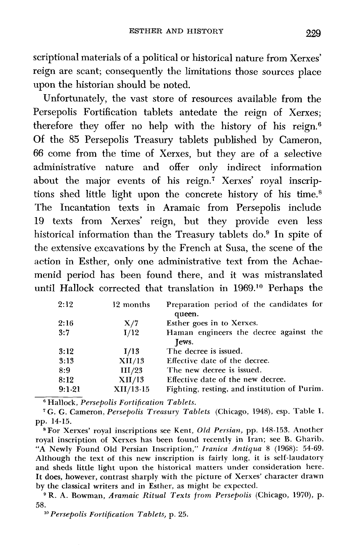scriptional materials of a political or historical nature from Xerxes' reign are scant; consequently the limitations those sources place upon the historian should be noted.

Unfortunately, the vast store of resources available from the Persepolis Fortification tablets antedate the reign of Xerxes; therefore they offer no help with the history of his reign.<sup>6</sup> Of the 85 Persepolis Treasury tablets published by Cameron, 66 come from the time of Xerxes, but they are of a selective administrative nature and offer only indirect information about the major events of his reign.<sup>7</sup> Xerxes' royal inscriptions shed little light upon the concrete history of his time.<sup>8</sup> The Incantation texts in Aramaic from Persepolis include 19 texts from Xerxes' reign, but they provide even less historical information than the Treasury tablets do.<sup>9</sup> In spite of the extensive excavations by the French at Susa, the scene of the action in Esther, only one administrative text from the Achaemenid period has been found there, and it was mistranslated until Hallock corrected that translation in 1969.1° Perhaps the

| 2:12     | 12 months   | Preparation period of the candidates for<br>queen. |
|----------|-------------|----------------------------------------------------|
| 2:16     | X/7         | Esther goes in to Xerxes.                          |
| 3:7      | I/12        | Haman engineers the decree against the             |
|          |             | Tews.                                              |
| 3:12     | I/13        | The decree is issued.                              |
| 3:13     | XII/13      | Effective date of the decree.                      |
| 8:9      | III/23      | The new decree is issued.                          |
| 8:12     | XII/13      | Effective date of the new decree.                  |
| $9:1-21$ | $XII/13-15$ | Fighting, resting, and institution of Purim.       |

Hallock, *Persepolis Fortification Tablets.* 

*G. G.* Cameron, *Persepolis Treasury Tablets* (Chicago, l948), esp. Table **I,**  pp. 14-15.

<sup>8</sup> For Xerxes' royal inscriptions see Kent, Old Persian, pp. 148-153. Another royal inscription of Xerxes has been found recently in Iran; see B. Gharib, "A Newly Found Old Persian Inscription," Iranica Antiqua 8 (1968): 54-69. Although the text of this new inscription is fairly long, it is self-laudatory and sheds little light upon the historical matters under consideration here. It does, however, contrast sharply with the picture of Xerxes' character drawn by the classical writers and in Esther, as might be expected.

R. A. Bowman, *Aramaic Ritual Texts from Persepolis* (Chicago, **1970),** p. 58.

*Persepolis Fortification Tablets,* p. *25.*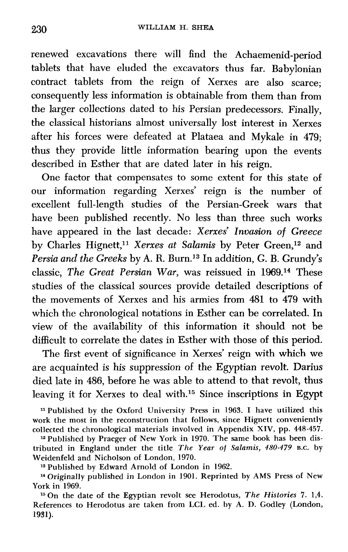renewed excavations there will find the Achaemenid-period tablets that have eluded the excavators thus far. Babylonian contract tablets from the reign of Xerxes are also scarce; consequently less information is obtainable from them than from the larger collections dated to his Persian predecessors. Finally, the classical historians almost universally lost interest in Xerxes after his forces were defeated at Plataea and Mykale in 479; thus they provide little information bearing upon the events described in Esther that are dated later in his reign.

One factor that compensates to some extent for this state of our information regarding Xerxes' reign is the number of excellent full-length studies of the Persian-Greek wars that have been published recently. No less than three such works have appeared in the last decade: Xerxes' Invasion of Greece by Charles Hignett,<sup>11</sup> Xerxes at Salamis by Peter Green,<sup>12</sup> and Persia and the Greeks by A. R. Burn.<sup>13</sup> In addition, G. B. Grundy's classic, The Great Persian War, was reissued in 1969.14 These studies of the classical sources provide detailed descriptions of the movements of Xerxes and his armies from 481 to 479 with which the chronological notations in Esther can be correlated. In view of the availability of this information it should not be difficult to correlate the dates in Esther with those of this period.

The first event of significance in Xerxes' reign with which we are acquainted is his suppression of the Egyptian revolt. Darius died late in 486, before he was able to attend to that revolt, thus leaving it for Xerxes to deal with.<sup>15</sup> Since inscriptions in Egypt

<sup>11</sup> Published by the Oxford University Press in 1963. I have utilized this work the most in the reconstruction that follows, since Hignett conveniently collected the chronological materials involved in Appendix XIV, pp. 448-457.

<sup>12</sup> Published by Praeger of New York in 1970. The same book has been distributed in England under the title *The* Year of **Salamis,** 480-479 **B.C.** by Weidenfeld and Nicholson of London, 1970.

**l3** Published by Edward Arnold of London in 1962.

**l4** Originally published in London in 1901. Reprinted by AMS Press of New York in 1969.

<sup>15</sup> On the date of the Egyptian revolt see Herodotus, *The Histories* 7. 1,4. References to Herodotus are taken from LCL ed. by A. D. Godley (London, **1981).**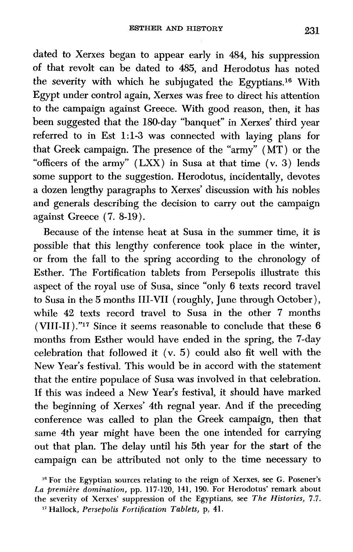dated to Xerxes began to appear early in 484, his suppression of that revolt can be dated to 485, and Herodotus has noted the severity with which he subjugated the Egyptians.<sup>16</sup> With Egypt under control again, Xerxes was free to direct his attention to the campaign against Greece. With good reason, then, it has been suggested that the 180-day "banquet" in Xerxes' third year referred to in Est 1:13 was connected with laying plans for that Greek campaign. The presence of the "army" (MT) or the "officers of the army" (LXX) in Susa at that time (v. **3)** lends some support to the suggestion. Herodotus, incidentally, devotes a dozen lengthy paragraphs to Xerxes' discussion with his nobles and generals describing the decision to carry out the campaign against Greece **(7.** 8-19).

Because of the intense heat at Susa in the summer time, it is possible that this lengthy conference took place in the winter, or from the fall to the spring according to the chronology of Esther. The Fortification tablets from Persepolis illustrate this aspect of the royal use of Susa, since "only 6 texts record travel to Susa in the 5 months 111-VII (roughly, June through October ), while **42** texts record travel to Susa in the other **7** months (VIII-II)."17 Since it seems reasonable to conclude that these **6**  months from Esther would have ended in the spring, the 7-day celebration that followed it (v. 5) could also fit well with the New Year's festival. This would be in accord with the statement that the entire populace of Susa was involved in that celebration. If this was indeed a New Year's festival, it should have marked the beginning of Xerxes' 4th regnal year. And if the preceding conference was called to plan the Greek campaign, then that same 4th year might have been the one intended for carrying out that plan. The delay until his 5th year for the start of the campaign can be attributed not only to the time necessary to

<sup>&</sup>lt;sup>16</sup> For the Egyptian sources relating to the reign of Xerxes, see G. Posener's *La premitre domination,* **pp. 117-120, 141, 190. For Herodotus' remark about the severity of Xerxes' suppression of the Egyptians, see** *The Histories,* **7.7. Hallock,** *Persepolis Fortification Tablets,* p, *41.*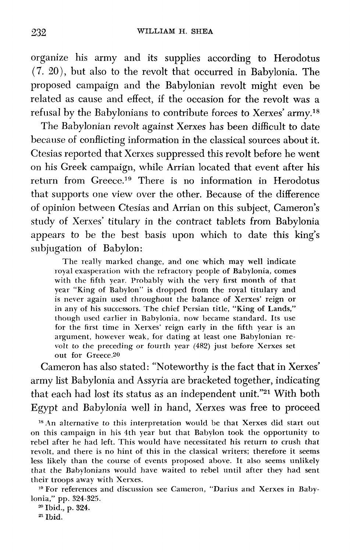organize his army and its supplies according to Herodotus *(7.* 20), but also to the revolt that occurred in Babylonia. The proposed campaign and the Babylonian revolt might even be related as cause and effect, if the occasion for the revolt was a refusal by the Babylonians to contribute forces to Xerxes' army.18

The Babylonian revolt against Xerxes has been difficult to date because of conflicting information in the classical sources about it. Ctesias reported that Xerxes suppressed this revolt before he went on his Greek campaign, while Arrian located that event after his return from Greece.<sup>19</sup> There is no information in Herodotus that supports one view over the other. Became of the difference of opinion between Ctesias and Arrian on this subject, Cameron's study of Xerxes' titulary in the contract tablets from Babylonia appears to be the best basis upon which to date this king's subjugation of Babylon:

The really marked change, and one which may well indicate royal exasperation with the refractory people of Babylonia, comes with the fifth year. Probably with the very first month of that year "King of Babylon" is dropped from the royal titulary and is never again used throughout the balance of Xerxes' reign or in any of his successors. The chief Persian title, "King of Lands," though used earlier in Babylonia, now became standard. Its use for the first time in Xerxes' reign early in the fifth year is an argument, however weak, for dating at least one Babylonian revolt to the preceding or fourth year (482) just before Xerxes set out for Greece.20

Cameron has also stated: "Noteworthy is the fact that in Xerxes' army list Babylonia and Assyria are bracketed together, indicating that each had lost its status as an independent unit."21 With both Egypt and Babylonia well in hand, Xerxes was free to proceed

<sup>18</sup> An alternative to this interpretation would be that Xerxes did start out on this campaign in his 4th year but that Babylon took the opportunity to rebel after he had left. This would have necessitated his return to crush that revolt, and there is no hint of this in the classical writers; therefore it seems less likely than the course of events proposed above. It also seems unlikely that the Babylonians would have waited to rebel until after they had sent their troops away with Xerxes.

<sup>19</sup> For references and discussion see Cameron, "Darius and Xerxes in Babylonia," pp. 324-325.

**<sup>20</sup>**Ibid., p. 324.

**Ibid.**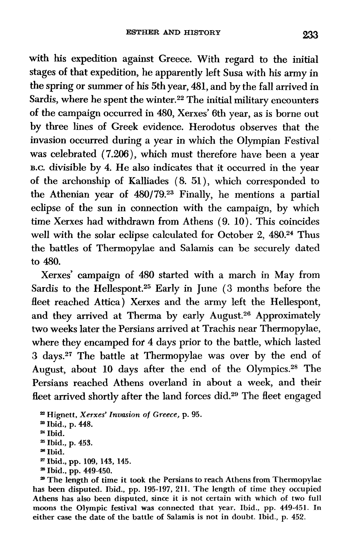with his expedition against Greece. With regard to the initial stages of that expedition, he apparently left Susa with his army in the spring or summer of his 5th year, 481, and by the fall arrived in Sardis, where he spent the winter.<sup>22</sup> The initial military encounters of the campaign occurred in 480, Xerxes' 6th year, as is borne out by three lines of Greek evidence. Herodotus observes that the invasion occurred during a year in which the Olympian Festival was celebrated (7.206), which must therefore have been a year B.C. divisible by 4. He also indicates that it occurred in the year of the archonship of Kalliades (8. 51 ), which corresponded to the Athenian year of 480/79.23 Finally, he mentions a partial eclipse of the sun in connection with the campaign, by which time Xerxes had withdrawn from Athens (9. 10). This coincides well with the solar eclipse calculated for October 2, **480.24** Thus the battles of Thermopylae and Salamis can be securely dated to 480.

Xerxes' campaign of 480 started with a march in May from Sardis to the Hellespont.<sup>25</sup> Early in June (3 months before the fleet reached Attica) Xerxes and the army left the Hellespont, and they arrived at Therma by early August.<sup>26</sup> Approximately two weeks later the Persians arrived at Trachis near Thermopylae, where they encamped fof 4 days prior to the battle, which lasted 3 days.<sup>27</sup> The battle at Thermopylae was over by the end of August, about 10 days after the end of the Olympics.<sup>28</sup> The Persians reached Athens overland in about a week, and their fleet arrived shortly after the land forces did.<sup>29</sup> The fleet engaged

**<sup>22</sup>Hignett,** *Xerxes' Invasion of Greece,* **p. 95. Z1 Ibid., p. 448.**  ~4 **Ibid.**  " **Ibid., p. 453. <sup>28</sup>Ibid. Ibid., pp. 109, 143, 145.**  " **Ibid., pp. 449-450.** 

**<sup>29</sup>The length of time it took the Persians to reach Athens from Thermopylae has been disputed. Ibid., pp. 195-197, 211. The length of time they occupied Athens has also been disputed, since it is not certain with which of two full moons the Olympic festival was connected that year. Ibid., pp. 449-451. In either case the date of the battle of Salamis is not in doubt. Ibid., p. 452.**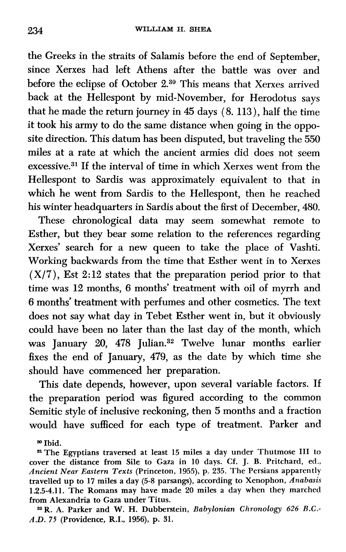the Greeks in the straits of Salamis before the end of September, since Xerxes had left Athens after the battle was over and before the eclipse of October 2.30 This means that Xerxes arrived back at the Hellespont by mid-November, for Herodotus says that he made the return journey in 45 days (8. 113), half the time it took his army to do the same distance when going in the opposite direction. This datum has been disputed, but traveling the 550 miles at a rate at which the ancient armies did does not seem  $excessive.<sup>31</sup>$  If the interval of time in which Xerxes went from the Hellespont to Sardis was approximately equivalent to that in which he went from Sardis to the Hellespont, then he reached his winter headquarters in Sardis about the first of December, 480.

These chronological data may seem somewhat remote to Esther, but they bear some relation to the references regarding Xerxes' search for a new queen to take the place of Vashti. Working backwards from the time that Esther went in to Xerxes  $(X/7)$ , Est 2:12 states that the preparation period prior to that time was 12 months, 6 months' treatment with oil of myrrh and 6 months' treatment with perfumes and other cosmetics. The text does not say what day in Tebet Esther went in, but it obviously could have been no later than the last day of the month, which was January 20, 478 Julian.<sup>32</sup> Twelve lunar months earlier fixes the end of January, 479, as the date by which time she should have commenced her preparation.

This date depends, however, upon several variable factors. If the preparation period was figured according to the common Semitic style of inclusive reckoning, then 5 months and a fraction would have sufficed for each type of treatment. Parker and

**Ibid.** 

**SIThe Egyptians traversed at least 15 miles a day under Thutmose I11 to cover the distance from Sile to Gaza in 10 days. Cf. J. B. Pritchard, ed.,**  *Ancient Near Eastern Texts* **(Princeton, 1955), p. 235. The Persians apparently travelled up to 17 miles a day (5-8 parsangs), according to Xenophon,** *Anabasis*  **1.2.5-4.11. The Romans may have made 20 miles a day when they marched from Alexandria to Gaza under Titus.** 

**3aR. A. Parker and W. H. Dubberstein,** *Babylonian Chronology* **626** *B.C.- A.D. 75* **(Providence, R.I., 1956), p. 31.**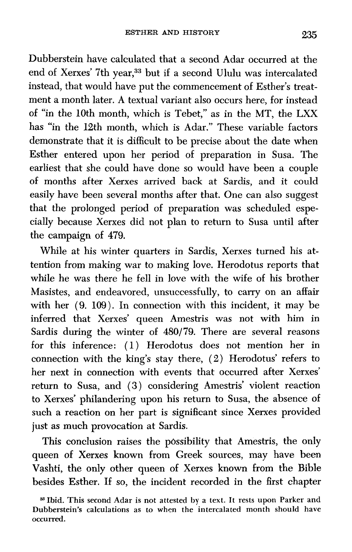Dubberstein have calculated that a second Adar occurred at the end of Xerxes' 7th year,<sup>33</sup> but if a second Ululu was intercalated instead, that would have put the commencement of Esther's treatment a month later. A textual variant also occurs here, for instead of "in the 10th month, which is Tebet," as in the MT, the LXX has "in the 12th month, which is Adar." These variable factors demonstrate that it is difficult to be precise about the date when Esther entered upon her period of preparation in Susa. The earliest that she could have done so would have been a couple of months after Xerxes arrived back at Sardis, and it could easily have been several months after that. One can also suggest that the prolonged period of preparation was scheduled especially because Xerxes did not plan to return to Susa until after the campaign of 479.

While at his winter quarters in Sardis, Xerxes turned his attention from making war to making love. Herodotus reports that while he was there he fell in love with the wife of his brother Masistes, and endeavored, unsuccessfully, to carry on an affair with her **(9.** 109). In connection with this incident, it may be inferred that Xerxes' queen Amestris was not with him in Sardis during the winter of **480/79.** There are several reasons for this inference: (1) Herodotus does not mention her in connection with the king's stay there, *(2)* Herodotus' refers to her next in connection with events that occurred after Xerxes' return to Susa, and **(3)** considering Amestris' violent reaction to Xerxes' philandering upon his return to Susa, the absence of such a reaction on her part is significant since Xerxes provided just as much provocation at Sardis.

This conclusion raises the possibility that Amestris, the only queen of Xerxes known from Greek sources, may have been Vashti, the only other queen of Xerxes known from the Bible besides Esther. If so, the incident recorded in the first chapter

<sup>&</sup>lt;sup>38</sup> Ibid. This second Adar is not attested by a text. It rests upon Parker and **Dubberstein's calculations as to when the intercalated month should have occurred.**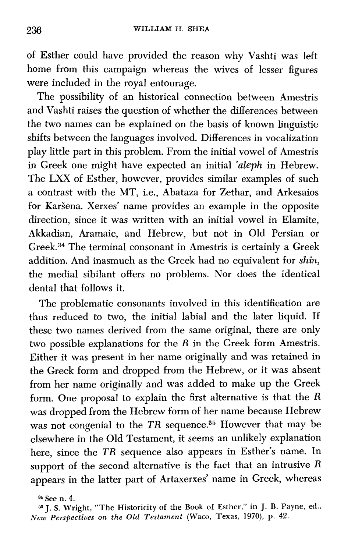of Esther could have provided the reason why Vashti was left home from this campaign whereas the wives of lesser figures were included in the royal entourage.

The possibility of an historical connection between Amestris and Vashti raises the question of whether the differences between the two names can be explained on the basis of known linguistic shifts between the languages involved. Differences in vocalization play little part in this problem. From the initial vowel of Amestris in Greek one might have expected an initial *'aleph* in Hebrew. The LXX of Esther, however, provides similar examples of such a contrast with the MT, i.e., Abataza for Zethar, and Arkesaios for Karšena. Xerxes' name provides an example in the opposite direction, since it was written with an initial vowel in Elamite, Akkadian, Aramaic, and Hebrew, but not in Old Persian or Greek.34 The terminal consonant in Amestris is certainly a Greek addition. And inasmuch as the Greek had no equivalent for *shin,*  the medial sibilant offers no problems. Nor does the identical dental that follows it.

The problematic consonants involved in this identification are thus reduced to two, the initial labial and the later liquid. If these two names derived from the same original, there are only two possible explanations for the  $R$  in the Greek form Amestris. Either it was present in her name originally and was retained in the Greek form and dropped from the Hebrew, or it was absent from her name originally and was added to make up the Greek form. One proposal to explain the first alternative is that the R was dropped from the Hebrew form of her name because Hebrew was not congenial to the TR sequence.<sup>35</sup> However that may be elsewhere in the Old Testament, it seems an unlikely explanation here, since the TR sequence also appears in Esther's name. In support of the second alternative is the fact that an intrusive R appears in the latter part of Artaxerxes' name in Greek, whereas

 $34$  See n. 4.

**<sup>35</sup>J. S. Wright, "The Historicity of the Book of Esther," in J. B. Payne, ed.,**  *New Perspectives on the Old Testament* **(Waco, Texas, 1970), p. 42.**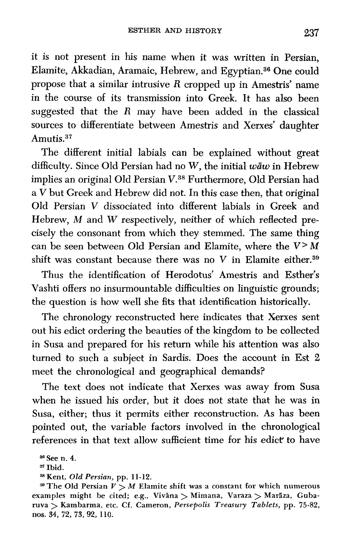it is not present in his name when it was written in Persian, Elamite, Akkadian, Aramaic, Hebrew, and Egyptian.<sup>36</sup> One could propose that a similar intrusive  $R$  cropped up in Amestris' name in the course of its transmission into Greek. It has also been suggested that the R may have been added in the classical sources to differentiate between Amestris and Xerxes' daughter Amutis.<sup>37</sup>

The different initial labials can be explained without great difficulty. Since Old Persian had no W, the initial  $w\bar{a}w$  in Hebrew implies an original Old Persian V.38 Furthermore, Old Persian had a V but Greek and Hebrew did not. In this case then, that original Old Persian V dissociated into different labials in Greek and Hebrew, *M* and *W* respectively, neither of which reflected precisely the consonant from which they stemmed. The same thing can be seen between Old Persian and Elamite, where the **V>** M shift was constant because there was no  $V$  in Elamite either.<sup>39</sup>

Thus the identification of Herodotus' Amestris and Esther's Vashti offers no insurmountable difficulties on linguistic grounds; the question is how well she fits that identification historically.

The chronology reconstructed here indicates that Xerxes sent out his edict ordering the beauties of the kingdom to be collected in Susa and prepared for his return while his attention was also turned to such a subject in Sardis. Does the account in Est 2 meet the chronological and geographical demands?

The text does not indicate that Xerxes was away from Susa when he issued his order, but it does not state that he was in Susa, either; thus it permits either reconstruction. As has been pointed out, the variable factors involved in the chronological references in that text allow sufficient time for his edict to have

**<sup>36</sup>**See n. **4.** 

<sup>&</sup>lt;sup>37</sup> Ibid.

**<sup>38</sup>**Kent, Old *Persian,* pp. **1** *1-12.* 

<sup>&</sup>lt;sup>39</sup> The Old Persian  $V > M$  Elamite shift was a constant for which numerous examples might be cited; e.g., Vivāna > Mimana, Varaza > Marāza, Gubaruva > Kambarma, etc. Cf. Cameron, *Persepolis* Treasury *Tablets,* **pp.** *75-82, nos.* **34, 72, 73, 92, 110.**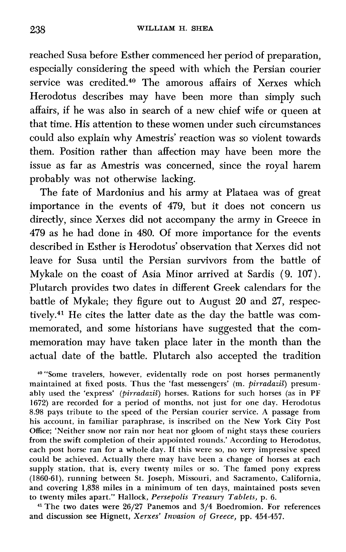reached Susa before Esther commenced her period of preparation, especially considering the speed with which the Persian courier service was credited.40 The amorous affairs of Xerxes which Herodotus describes may have been more than simply such affairs, if he was also in search of a new chief wife or queen at that time. His attention to these women under such circumstances could also explain why Amestris' reaction was so violent towards them. Position rather than affection may have been more the issue as far as Amestris was concerned, since the royal harem probably was not otherwise lacking.

The fate of Mardonius and his army at Plataea was of great importance in the events of 479, but it does not concern us directly, since Xerxes did not accompany the army in Greece in 479 as he had done in 480. Of more importance for the events described in Esther is Herodotus' observation that Xerxes did not leave for Susa until the Persian survivors from the battle of Mykale on the coast of Asia Minor arrived at Sardis (9. 107). Plutarch provides two dates in different Greek calendars for the battle of Mykale; they figure out to August 20 and 27, respectively.<sup>41</sup> He cites the latter date as the day the battle was commemorated, and some historians have suggested that the commemoration may have taken place later in the month than the actual date of the battle. Plutarch also accepted the tradition

**<sup>40</sup>**"Some travelers, however, evidentally rode on post horses permanently maintained at fixed posts. Thus the 'fast messengers' (m. pirradazis) presumably used the 'express' (pirradazis) horses. Rations for such horses (as in PF 1672) are recorded for a period of months, not just for one day. Herodotus 8.98 pays tribute to the speed of the Persian courier service. A passage from his account, in familiar paraphrase, is inscribed on the New York City Post Office; 'Neither snow nor rain nor heat nor gloom of night stays these couriers from the swift completion of their appointed rounds.' According to Herodotus, each post horse ran for a whole day. If this were so, no very impressive speed could be achieved. Actually there may have been a change of horses at each supply station, that is, every twenty miles or so. The famed pony express (1860-61), running between St. Joseph, Missouri, and Sacramento, California, and covering 1,838 miles in a minimum of ten days, maintained posts seven to twenty miles apart." Hallock, Persepolis Treasury Tablets, p. 6.

<sup>41</sup> The two dates were 26/27 Panemos and 3/4 Boedromion. For references and discussion see Hignett, Xerxes' Invasion of Greece, pp. 454-457.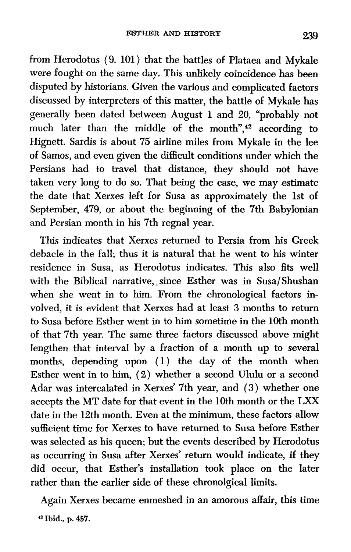from Herodotus (9. 101) that the battles of Plataea and Mykale were fought on the same day. This unlikely coincidence has been disputed by historians. Given the various and complicated factors discussed by interpreters of this matter, the battle of Mykale has generally been dated between August 1 and 20, "probably not much later than the middle of the month", $42$  according to Hignett. Sardis is about 75 airline miles from Mykale in the lee of Samos, and even given the difficult conditions under which the Persians had to travel that distance, they should not have taken very long to do so. That being the case, we may estimate the date that Xerxes left for Susa as approximately the 1st of September, 479, or about the beginning of the 7th Babylonian and Persian month in his 7th regnal year.

This indicates that Xerxes returned to Persia from his Greek debacle in the fall; thus it is natural that he went to his winter residence in Susa, as Herodotus indicates. This also fits well with the Biblical narrative, since Esther was in Susa/Shushan when she went in to him. From the chronological factors involved, it is evident that Xerxes had at least 3 months to return to Susa before Esther went in to him sometime in the **10th** month of that 7th year. The same three factors discussed above might lengthen that interval by a fraction of a month up to several months, depending upon (1) the day of the month when Esther went in to him, (2) whether a second Ululu or a second Adar was intercalated in Xerxes' 7th year, and (3) whether one accepts the MT date for that event in the 10th month or the LXX date in the 12th month. Even at the minimum, these factors allow sufficient time for Xerxes to have returned to Susa before Esther was selected as his queen; but the events described by Herodotus as occurring in Susa after Xerxes' return would indicate, if they did occur, that Esther's installation took place on the later rather than the earlier side of these chronolgical limits.

Again Xerxes became enmeshed in an amorous affair, this time **42 Ibid., p. 457.**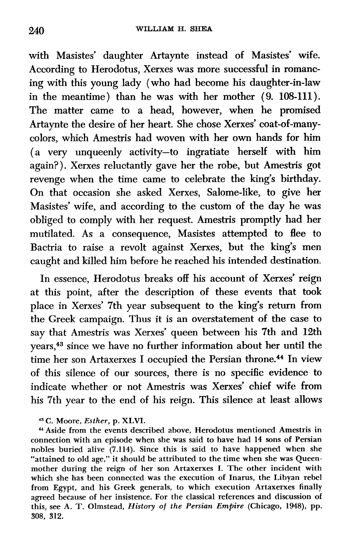with Masistes' daughter Artaynte instead of Masistes' wife. According to Herodotus, Xerxes was more successful in romancing with this young lady (who had become his daughter-in-law in the meantime) than he was with her mother (9. 108-111). The matter came to a head, however, when he promised Artaynte the desire of her heart. She chose Xerxes' coat-of-manycolors, which Amestris had woven with her own hands for him (a very unqueenly activity-to ingratiate herself with him again?). Xerxes reluctantly gave her the robe, but Amestris got revenge when the time came to celebrate the king's birthday. On that occasion she asked Xerxes, Salome-like, to give her Masistes' wife, and according to the custom of the day he was obliged to comply with her request. Amestris promptly had her mutilated. As a consequence, Masistes attempted to flee to Bactria to raise a revolt against Xerxes, but the king's men caught and killed him before he reached his intended destination.

In essence, Herodotus breaks off his account of Xerxes' reign at this point, after the description of these events that took place in Xerxes' 7th year subsequent to the king's return from the Greek campaign. Thus it is an overstatement of the case to say that Amestris was Xerxes' queen between his 7th and 12th years,43 since we have no further information about her until the time her son Artaxerxes I occupied the Persian throne.44 In view of this silence of our sources, there is no specific evidence to indicate whether or not Amestris was Xerxes' chief wife from his 7th year to the end of his reign. This silence at least allows

"3 C. Moore, *Esther,* p. XLVI.

**<sup>44</sup>**Aside from the events described above, Herodotus mentioned Amestris in connection with an episode when she was said to have had 14 sons of Persian nobles buried alive (7.114). Since this is said to have happened when she "attained to old age," it should be attributed to the time when she was Queenmother during the reign of her son Artaxerxes I. The other incident with which she has been connected was the execution of Inarus, the Libyan rebel from Egypt, and his Greek generals, to which execution Artaxerxes finally agreed because of her insistence. For the classical references and discussion of this, see A. T. Olmstead, *History of the Persian Empire* (Chicago, **1948),** pp. 308, 312.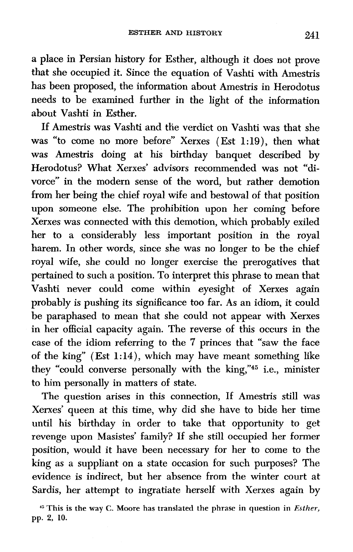a place in Persian history for Esther, although it does not prove that she occupied it. Since the equation of Vashti with Amestris has been proposed, the information about Amestris in Herodotus needs to be examined further in the light of the information about Vashti in Esther,

If Amestris was Vashti and the verdict on Vashti was that she was "to come no more before" Xerxes (Est 1:19), then what was Amestris doing at his birthday banquet described by Herodotus? What Xerxes' advisors recommended was not "divorce" in the modern sense of the word, but rather demotion from her being the chief royal wife and bestowal of that position upon someone else. The prohibition upon her coming before Xerxes was connected with this demotion, which probably exiled her to a considerably less important position in the royal harem. In other words, since she was no longer to be the chief royal wife, she could no longer exercise the prerogatives that pertained to such a position. To interpret this phrase to mean that Vashti never could come within eyesight of Xerxes again probably is pushing its significance too far. As an idiom, it could be paraphased to mean that she could not appear with Xerxes in her official capacity again. The reverse of this occurs in the case of the idiom referring to the 7 princes that "saw the face of the king" (Est 1:14), which may have meant something like they "could converse personally with the king,"45 i.e., minister to him personally in matters of state.

The question arises in this connection, If Amestris still was Xerxes' queen at this time, why did she have to bide her time until his birthday in order to take that opportunity to get revenge upon Masistes' family? If she still occupied her former position, would it have been necessary for her to come to the king as a suppliant on a state occasion for such purposes? The evidence is indirect, but her absence from the winter court at Sardis, her attempt to ingratiate herself with Xerxes again by

**<sup>4&</sup>quot; This is the way C. Moore has translated the phrase in question in** *Esther,*  **pp. 2, 10.**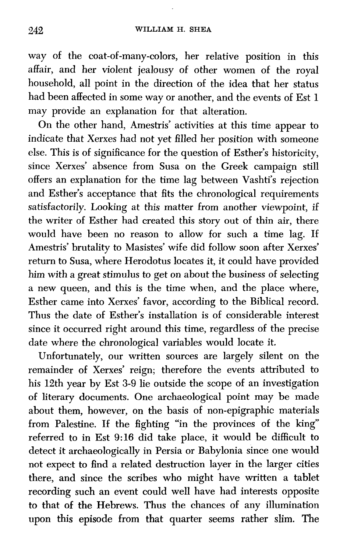way of the coat-of-many-colors, her relative position in this affair, and her violent jealousy of other women of the royal household, all point in the direction of the idea that her status had been affected in some way or another, and the events of Est 1 may provide an explanation for that alteration.

On the other hand, Amestris' activities at this time appear to indicate that Xerxes had not yet Blled her position with someone else. This is of significance for the question of Esther's historicity, since Xerxes' absence from Susa on the Greek campaign still offers an explanation for the time lag between Vashti's rejection and Esther's acceptance that fits the chronological requirements satisfactorily. Looking at this matter from another viewpoint, if the writer of Esther had created this story out of thin air, there would have been no reason to allow for such a time lag. If Amestris' brutality to Masistes' wife did follow soon after Xerxes' return to Susa, where Herodotus locates it, it could have provided him with a great stimulus to get on about the business of selecting a new queen, and this is the time when, and the place where, Esther came into Xerxes' favor, according to the Biblical record. Thus the date of Esther's installation is of considerable interest since it occurred right around this time, regardless of the precise date where the chronological variables would locate it.

Unfortunately, our written sources are largely silent on the remainder of Xerxes' reign; therefore the events attributed to his 12th year by Est **3-9** lie outside the scope of an investigation of literary documents. One archaeological point may be made about them, however, on the basis of non-epigraphic materials from Palestine. If the fighting "in the provinces of the king" referred to in Est **9:16** did take place, it would be difficult to detect it archaeologically in Persia or Babylonia since one would not expect to find a related destruction layer in the larger cities there, and since the scribes who might have written a tablet recording such an event could well have had interests opposite to that of the Hebrews. Thus the chances of any illumination upon this episode from that quarter seems rather slim. The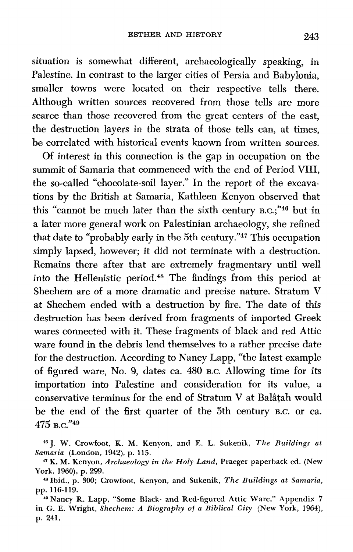situation is somewhat different, archaeologically speaking, in Palestine. In contrast to the larger cities of Persia and Babylonia, smaller towns were located on their respective tells there. Although written sources recovered from those tells are more scarce than those recovered from the great centers of the east, the destruction layers in the strata of those tells can, at times, be correlated with historical events known from written sources.

Of interest in this connection is the gap in occupation on the summit of Samaria that commenced with the end of Period VIII, the so-called "chocolate-soil layer." In the report of the excavations by the British at Samaria, Kathleen Kenyon observed that this "cannot be much later than the sixth century B.C.;"<sup>46</sup> but in a later more general work on Palestinian archaeology, she refined that date to "probably early in the 5th century."47 This occupation simply lapsed, however; it did not terminate with a destruction. Remains there after that are extremely fragmentary until well into the Hellenistic period.48 The findings from this period at Shechem are of a more dramatic and precise nature. Stratum V at Shechem ended with a destruction by fire. The date of this destruction has been derived from fragments of imported Greek wares connected with it. These fragments of black and red Attic ware found in the debris lend themselves to a rather precise date for the destruction. According to Nancy Lapp, "the latest example of figured ware, No. 9, dates ca. 480 **B.C.** Allowing time for its importation into Palestine and consideration for its value, a conservative terminus for the end of Stratum V at Balâtah would be the end of the first quarter of the 5th century **B.C.** or ca. 475 в.с."<sup>49</sup>

**<sup>46</sup>J. W. Crowfoot, K. M. Kenyon, and E. L. Sukenik,** *The Buildings at Samaria* **(London, 1942), p. 115.** 

**<sup>47</sup>K. M. Kenyon,** *Archaeology in the Holy Land,* **Praeger paperback ed. (New York, 1960), p.** 299.

**<sup>-</sup>Ibid.,** p. **300; Crowfoot, Kenyon, and Sukenik,** *The Buildings at Samaria,*  pp. **116-119.** 

**<sup>49</sup>Nancy R. Lapp, "Some Black- and Red-figured Attic Ware," Appendix 7 in G. E. Wright,** *Shechem:* **A** *Biography of a Biblical City* **(New York, 1964), p. 241.**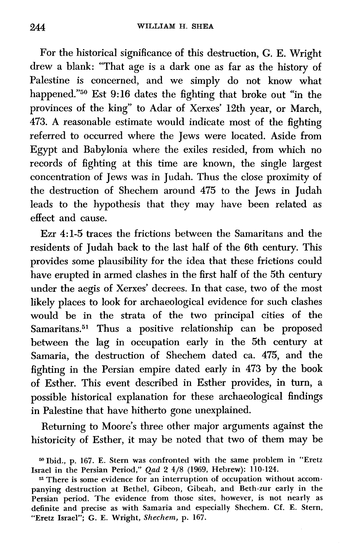For the historical significance of this destruction, G. E. Wright drew a blank: "That age is a dark one as far as the history of Palestine is concerned, and we simply do not know what happened."50 Est 9:16 dates the fighting that broke out "in the provinces of the king" to Adar of Xerxes' **12th** year, or March, 473. A reasonable estimate would indicate most of the fighting referred to occurred where the Jews were located. Aside from Egypt and Babylonia where the exiles resided, from which no records of fighting at this time are known, the single largest concentration of Jews was in Judah. Thus the close proximity of the destruction of Shechem around 475 to the Jews in Judah leads to the hypothesis that they may have been related as effect and cause.

Ezr 4:l-5 traces the frictions between the Samaritans and the residents of Judah back to the last half of the 6th century. This provides some plausibility for the idea that these frictions could have erupted in armed clashes in the first half of the 5th century under the aegis of Xerxes' decrees. In that case, two of the most likely places to look for archaeological evidence for such clashes would be in the strata of the two principal cities of the Samaritans.<sup>51</sup> Thus a positive relationship can be proposed between the lag in occupation early in the 5th century at Samaria, the destruction of Shechem dated ca. 475, and the fighting in the Persian empire dated early in 473 by the book of Esther. This event described in Esther provides, in turn, a possible historical explanation for these archaeological findings in Palestine that have hitherto gone unexplained.

Returning to Moore's three other major arguments against the historicity of Esther, it may be noted that two of them may be

**<sup>=</sup>Ibid., p. 167. E. Stern was confronted with the same problem in "Eretz Israel in the Persian Period,"** Qad **2 4/8 (1969, Hebrew): 110-124.** 

**<sup>51</sup> There is some evidence for an interruption of occupation without accompanying destruction at Bethel, Gibeon, Gibeah, and Beth-zur early in the Persian period. The evidence from those sites, however, is not nearly as definite and precise as with Samaria and especially Shechem. Cf. E. Stern, "Eretz Israel"; G. E. Wright,** *Shechem,* **p. 167.**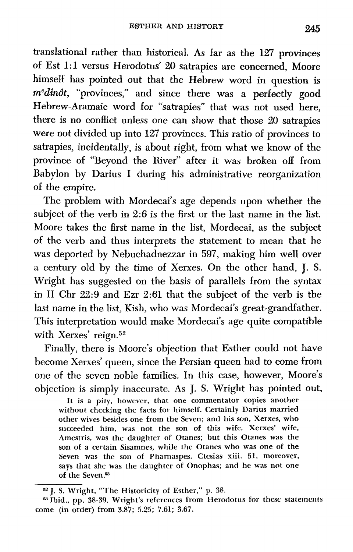translational rather than historical. As far as the 127 provinces of Est 1:l versus Herodotus' 20 satrapies are concerned, Moore himself has pointed out that the Hebrew word in question is  $m^e$ dinôt, "provinces," and since there was a perfectly good Hebrew-Aramaic word for "satrapies" that was not used here, there is no conflict unless one can show that those 20 satrapies were not divided up into 127 provinces. This ratio of provinces to satrapies, incidentally, is about right, from what we know of the province of "Beyond the River" after it was broken off from Babylon by Darius I during his administrative reorganization of the empire.

The problem with Mordecai's age depends upon whether the subject of the verb in 2:6 is the first or the last name in the list. Moore takes the first name in the list, Mordecai, as the subject of the verb and thus interprets the statement to mean that he was deported by Nebuchadnezzar in 597, making him well over a century old by the time of Xerxes. On the other hand, J. S. Wright has suggested on the basis of parallels from the syntax in **I1** Chr 22:9 and Ezr 2:61 that the subject of the verb is the last name in the list, Kish, who was Mordecai's great-grandfather. This interpretation would make Mordecai's age quite compatible with Xerxes' reign.<sup>52</sup>

Finally, there is Moore's objection that Esther could not have become Xerxes' queen, since the Persian queen had to come from one of the seven noble families. In this case, however, Moore's objection is simply inaccurate. As J. S. Wright has pointed out,

It is a pity, however, that one commentator copies another without checking the facts for himself. Certainly Darius married other wives besides one from the Seven; and his son, Xerxes, who succeeded him, was not the son of this wife. Xerxes' wife, Amestris, was the daughter of Otanes; but this Otanes was the son of a certain Sisamnes, while the Otanes who was one of the Seven was the son of Pharnaspes. Ctesias xiii. 51, moreover, says that she was the daughter of Onophas; and he was not one of the Seven.53

**<sup>62</sup>J.** S. Wright, "The Historicity of Esther," p. 38.

<sup>&</sup>lt;sup>53</sup> Ibid., pp. 38-39. Wright's references from Herodotus for these statements come (in order) from 3.87; 5.25; 7.61; 3.67.